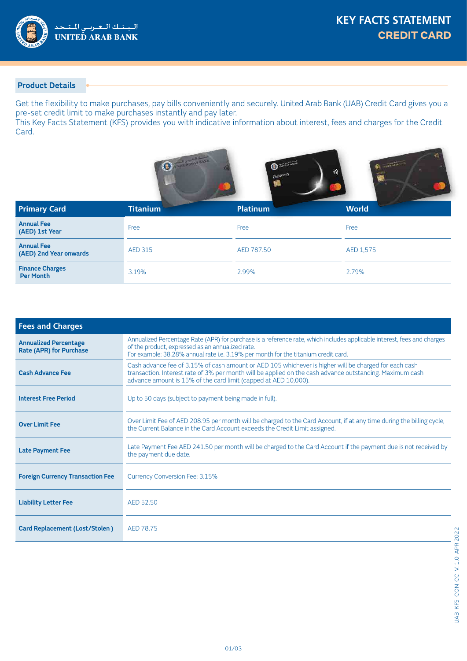

### **Product Details**

Get the flexibility to make purchases, pay bills conveniently and securely. United Arab Bank (UAB) Credit Card gives you a pre-set credit limit to make purchases instantly and pay later.

This Key Facts Statement (KFS) provides you with indicative information about interest, fees and charges for the Credit Card.

|                                             | O               | $\begin{array}{c}\n\text{Equation 1:}\n\\ \n\text{equation 2:}\n\\ \n\text{equation 3:}\n\end{array}$<br>m | Commission<br>ê |
|---------------------------------------------|-----------------|------------------------------------------------------------------------------------------------------------|-----------------|
| <b>Primary Card</b>                         | <b>Titanium</b> | <b>Platinum</b>                                                                                            | <b>World</b>    |
| <b>Annual Fee</b><br>(AED) 1st Year         | Free            | Free                                                                                                       | Free            |
| <b>Annual Fee</b><br>(AED) 2nd Year onwards | <b>AED 315</b>  | AED 787.50                                                                                                 | AED 1,575       |
| <b>Finance Charges</b><br><b>Per Month</b>  | 3.19%           | 2.99%                                                                                                      | 2.79%           |

| <b>Fees and Charges</b>                                        |                                                                                                                                                                                                                                                                                      |  |  |
|----------------------------------------------------------------|--------------------------------------------------------------------------------------------------------------------------------------------------------------------------------------------------------------------------------------------------------------------------------------|--|--|
| <b>Annualized Percentage</b><br><b>Rate (APR) for Purchase</b> | Annualized Percentage Rate (APR) for purchase is a reference rate, which includes applicable interest, fees and charges<br>of the product, expressed as an annualized rate.<br>For example: 38.28% annual rate i.e. 3.19% per month for the titanium credit card.                    |  |  |
| <b>Cash Advance Fee</b>                                        | Cash advance fee of 3.15% of cash amount or AED 105 whichever is higher will be charged for each cash<br>transaction. Interest rate of 3% per month will be applied on the cash advance outstanding. Maximum cash<br>advance amount is 15% of the card limit (capped at AED 10,000). |  |  |
| <b>Interest Free Period</b>                                    | Up to 50 days (subject to payment being made in full).                                                                                                                                                                                                                               |  |  |
| <b>Over Limit Fee</b>                                          | Over Limit Fee of AED 208.95 per month will be charged to the Card Account, if at any time during the billing cycle,<br>the Current Balance in the Card Account exceeds the Credit Limit assigned.                                                                                   |  |  |
| <b>Late Payment Fee</b>                                        | Late Payment Fee AED 241.50 per month will be charged to the Card Account if the payment due is not received by<br>the payment due date.                                                                                                                                             |  |  |
| <b>Foreign Currency Transaction Fee</b>                        | Currency Conversion Fee: 3.15%                                                                                                                                                                                                                                                       |  |  |
| <b>Liability Letter Fee</b>                                    | AED 52.50                                                                                                                                                                                                                                                                            |  |  |
| <b>Card Replacement (Lost/Stolen)</b>                          | AED 78.75                                                                                                                                                                                                                                                                            |  |  |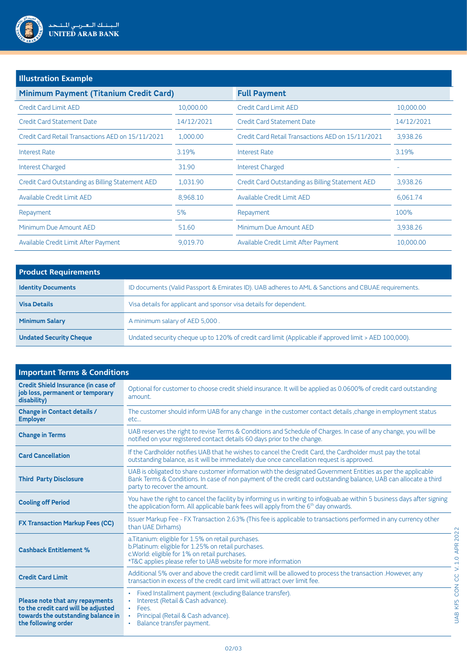

# **Illustration Example**

| Minimum Payment (Titanium Credit Card)            |            | <b>Full Payment</b>                               |            |
|---------------------------------------------------|------------|---------------------------------------------------|------------|
| Credit Card Limit AED                             | 10,000.00  | Credit Card Limit AED                             | 10,000.00  |
| Credit Card Statement Date                        | 14/12/2021 | Credit Card Statement Date                        | 14/12/2021 |
| Credit Card Retail Transactions AED on 15/11/2021 | 1,000.00   | Credit Card Retail Transactions AED on 15/11/2021 | 3,938.26   |
| <b>Interest Rate</b>                              | 3.19%      | Interest Rate                                     | 3.19%      |
| Interest Charged                                  | 31.90      | <b>Interest Charged</b>                           |            |
| Credit Card Outstanding as Billing Statement AED  | 1,031.90   | Credit Card Outstanding as Billing Statement AED  | 3,938.26   |
| Available Credit Limit AED                        | 8.968.10   | Available Credit Limit AED                        | 6.061.74   |
| Repayment                                         | 5%         | Repayment                                         | 100%       |
| Minimum Due Amount AED                            | 51.60      | Minimum Due Amount AED                            | 3,938.26   |
| Available Credit Limit After Payment              | 9,019.70   | Available Credit Limit After Payment              | 10,000.00  |

| <b>Product Requirements</b>    |                                                                                                       |  |
|--------------------------------|-------------------------------------------------------------------------------------------------------|--|
| <b>Identity Documents</b>      | ID documents (Valid Passport & Emirates ID). UAB adheres to AML & Sanctions and CBUAE requirements.   |  |
| <b>Visa Details</b>            | Visa details for applicant and sponsor visa details for dependent.                                    |  |
| <b>Minimum Salary</b>          | A minimum salary of AED 5,000.                                                                        |  |
| <b>Undated Security Cheque</b> | Undated security cheque up to 120% of credit card limit (Applicable if approved limit > AED 100,000). |  |

| <b>Important Terms &amp; Conditions</b>                                                                                             |                                                                                                                                                                                                                                                                  |  |
|-------------------------------------------------------------------------------------------------------------------------------------|------------------------------------------------------------------------------------------------------------------------------------------------------------------------------------------------------------------------------------------------------------------|--|
| <b>Credit Shield Insurance (in case of</b><br>job loss, permanent or temporary<br>disability)                                       | Optional for customer to choose credit shield insurance. It will be applied as 0.0600% of credit card outstanding<br>amount.                                                                                                                                     |  |
| <b>Change in Contact details /</b><br><b>Employer</b>                                                                               | The customer should inform UAB for any change in the customer contact details, change in employment status<br>etc                                                                                                                                                |  |
| <b>Change in Terms</b>                                                                                                              | UAB reserves the right to revise Terms & Conditions and Schedule of Charges. In case of any change, you will be<br>notified on your registered contact details 60 days prior to the change.                                                                      |  |
| <b>Card Cancellation</b>                                                                                                            | If the Cardholder notifies UAB that he wishes to cancel the Credit Card, the Cardholder must pay the total<br>outstanding balance, as it will be immediately due once cancellation request is approved.                                                          |  |
| <b>Third Party Disclosure</b>                                                                                                       | UAB is obligated to share customer information with the designated Government Entities as per the applicable<br>Bank Terms & Conditions. In case of non payment of the credit card outstanding balance, UAB can allocate a third<br>party to recover the amount. |  |
| <b>Cooling off Period</b>                                                                                                           | You have the right to cancel the facility by informing us in writing to info@uab.ae within 5 business days after signing<br>the application form. All applicable bank fees will apply from the 6 <sup>th</sup> day onwards.                                      |  |
| <b>FX Transaction Markup Fees (CC)</b>                                                                                              | Issuer Markup Fee - FX Transaction 2.63% (This fee is applicable to transactions performed in any currency other<br>than UAE Dirhams)                                                                                                                            |  |
| <b>Cashback Entitlement %</b>                                                                                                       | a. Titanium: eligible for 1.5% on retail purchases.<br>b.Platinum: eligible for 1.25% on retail purchases.<br>c. World: eligible for 1% on retail purchases.<br>*T&C applies please refer to UAB website for more information                                    |  |
| <b>Credit Card Limit</b>                                                                                                            | Additional 5% over and above the credit card limit will be allowed to process the transaction .However, any<br>transaction in excess of the credit card limit will attract over limit fee.                                                                       |  |
| Please note that any repayments<br>to the credit card will be adjusted<br>towards the outstanding balance in<br>the following order | Fixed Installment payment (excluding Balance transfer).<br>٠<br>Interest (Retail & Cash advance).<br>Fees.<br>Principal (Retail & Cash advance).<br>Balance transfer payment.                                                                                    |  |